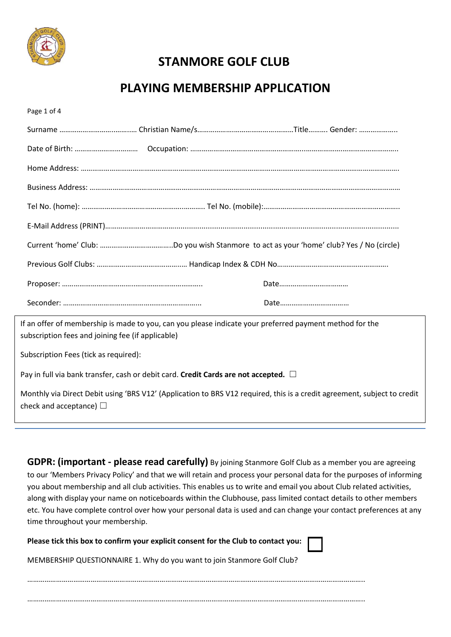

Mem

# **STANMORE GOLF CLUB**

# **PLAYING MEMBERSHIP APPLICATION**

| Page 1 of 4                                                                                                                                                  |
|--------------------------------------------------------------------------------------------------------------------------------------------------------------|
|                                                                                                                                                              |
|                                                                                                                                                              |
|                                                                                                                                                              |
|                                                                                                                                                              |
|                                                                                                                                                              |
|                                                                                                                                                              |
|                                                                                                                                                              |
|                                                                                                                                                              |
|                                                                                                                                                              |
|                                                                                                                                                              |
| If an offer of membership is made to you, can you please indicate your preferred payment method for the<br>subscription fees and joining fee (if applicable) |
| Subscription Fees (tick as required):                                                                                                                        |
| Pay in full via bank transfer, cash or debit card. Credit Cards are not accepted. $\Box$                                                                     |
| Monthly via Direct Debit using 'BRS V12' (Application to BRS V12 required, this is a credit agreement, subject to credit<br>check and acceptance) $\Box$     |
|                                                                                                                                                              |

**GDPR: (important - please read carefully)** By joining Stanmore Golf Club as a member you are agreeing to our 'Members Privacy Policy' and that we will retain and process your personal data for the purposes of informing you about membership and all club activities. This enables us to write and email you about Club related activities, along with display your name on noticeboards within the Clubhouse, pass limited contact details to other members etc. You have complete control over how your personal data is used and can change your contact preferences at any time throughout your membership.

| Please tick this box to confirm your explicit consent for the Club to contact you: $\Box$ |
|-------------------------------------------------------------------------------------------|
| MEMBERSHIP QUESTIONNAIRE 1. Why do you want to join Stanmore Golf Club?                   |
|                                                                                           |
|                                                                                           |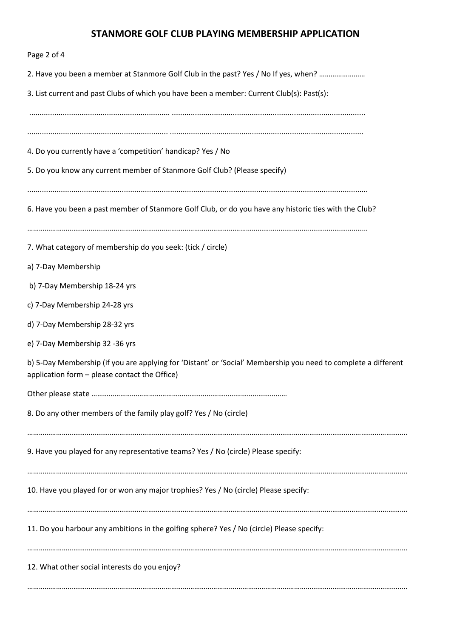## **STANMORE GOLF CLUB PLAYING MEMBERSHIP APPLICATION**

| Page 2 of 4                                                                                                                                                     |
|-----------------------------------------------------------------------------------------------------------------------------------------------------------------|
| 2. Have you been a member at Stanmore Golf Club in the past? Yes / No If yes, when?                                                                             |
| 3. List current and past Clubs of which you have been a member: Current Club(s): Past(s):                                                                       |
| 4. Do you currently have a 'competition' handicap? Yes / No<br>5. Do you know any current member of Stanmore Golf Club? (Please specify)                        |
| 6. Have you been a past member of Stanmore Golf Club, or do you have any historic ties with the Club?                                                           |
| 7. What category of membership do you seek: (tick / circle)                                                                                                     |
| a) 7-Day Membership                                                                                                                                             |
| b) 7-Day Membership 18-24 yrs                                                                                                                                   |
| c) 7-Day Membership 24-28 yrs                                                                                                                                   |
| d) 7-Day Membership 28-32 yrs                                                                                                                                   |
| e) 7-Day Membership 32 -36 yrs                                                                                                                                  |
| b) 5-Day Membership (if you are applying for 'Distant' or 'Social' Membership you need to complete a different<br>application form - please contact the Office) |
|                                                                                                                                                                 |
| 8. Do any other members of the family play golf? Yes / No (circle)                                                                                              |
| 9. Have you played for any representative teams? Yes / No (circle) Please specify:                                                                              |
| 10. Have you played for or won any major trophies? Yes / No (circle) Please specify:                                                                            |
| 11. Do you harbour any ambitions in the golfing sphere? Yes / No (circle) Please specify:                                                                       |
| 12. What other social interests do you enjoy?                                                                                                                   |
|                                                                                                                                                                 |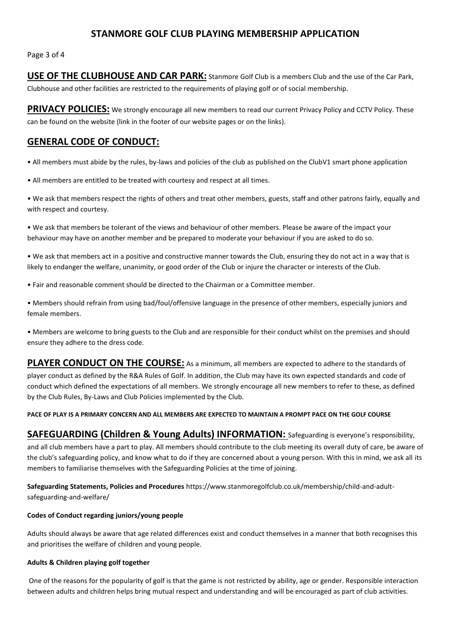### **STANMORE GOLF CLUB PLAYING MEMBERSHIP APPLICATION**

Page 3 of 4

**USE OF THE CLUBHOUSE AND CAR PARK:** Stanmore Golf Club is a members Club and the use of the Car Park, Clubhouse and other facilities are restricted to the requirements of playing golf or of social membership.

**PRIVACY POLICIES:** We strongly encourage all new members to read our current Privacy Policy and CCTV Policy. These can be found on the website (link in the footer of our website pages or on the links).

## **GENERAL CODE OF CONDUCT:**

• All members must abide by the rules, by-laws and policies of the club as published on the ClubV1 smart phone application

• All members are entitled to be treated with courtesy and respect at all times.

• We ask that members respect the rights of others and treat other members, guests, staff and other patrons fairly, equally and with respect and courtesy.

• We ask that members be tolerant of the views and behaviour of other members. Please be aware of the impact your behaviour may have on another member and be prepared to moderate your behaviour if you are asked to do so.

• We ask that members act in a positive and constructive manner towards the Club, ensuring they do not act in a way that is likely to endanger the welfare, unanimity, or good order of the Club or injure the character or interests of the Club.

• Fair and reasonable comment should be directed to the Chairman or a Committee member.

• Members should refrain from using bad/foul/offensive language in the presence of other members, especially juniors and female members.

• Members are welcome to bring guests to the Club and are responsible for their conduct whilst on the premises and should ensure they adhere to the dress code.

**PLAYER CONDUCT ON THE COURSE:** As a minimum, all members are expected to adhere to the standards of player conduct as defined by the R&A Rules of Golf. In addition, the Club may have its own expected standards and code of conduct which defined the expectations of all members. We strongly encourage all new members to refer to these, as defined by the Club Rules, By-Laws and Club Policies implemented by the Club.

#### **PACE OF PLAY IS A PRIMARY CONCERN AND ALL MEMBERS ARE EXPECTED TO MAINTAIN A PROMPT PACE ON THE GOLF COURSE**

**SAFEGUARDING (Children & Young Adults) INFORMATION:** Safeguarding is everyone's responsibility, and all club members have a part to play. All members should contribute to the club meeting its overall duty of care, be aware of the club's safeguarding policy, and know what to do if they are concerned about a young person. With this in mind, we ask all its members to familiarise themselves with the Safeguarding Policies at the time of joining.

**Safeguarding Statements, Policies and Procedures** https://www.stanmoregolfclub.co.uk/membership/child-and-adultsafeguarding-and-welfare/

#### **Codes of Conduct regarding juniors/young people**

Adults should always be aware that age related differences exist and conduct themselves in a manner that both recognises this and prioritises the welfare of children and young people.

#### **Adults & Children playing golf together**

One of the reasons for the popularity of golf is that the game is not restricted by ability, age or gender. Responsible interaction between adults and children helps bring mutual respect and understanding and will be encouraged as part of club activities.